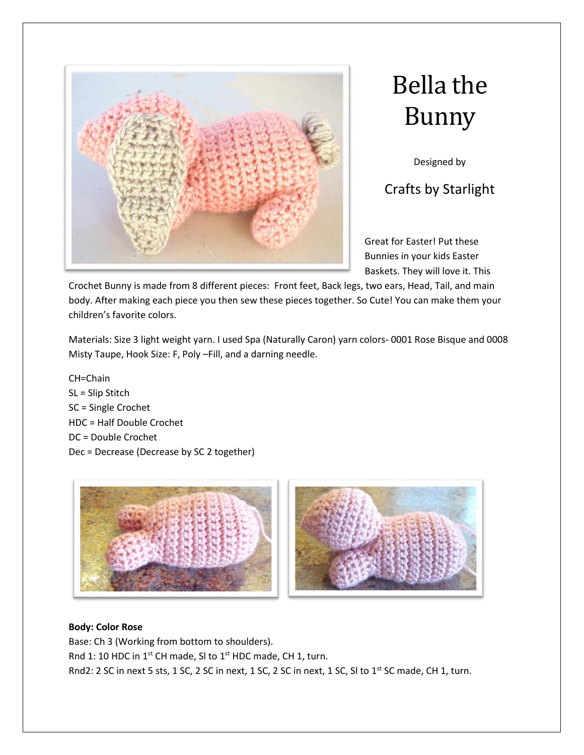



Designed by

Crafts by Starlight

Great for Easter! Put these Bunnies in your kids Easter Baskets. They will love it. This

Crochet Bunny is made from 8 different pieces: Front feet, Back legs, two ears, Head, Tail, and main body. After making each piece you then sew these pieces together. So Cute! You can make them your children's favorite colors.

Materials: Size 3 light weight yarn. I used Spa (Naturally Caron) yarn colors- 0001 Rose Bisque and 0008 Misty Taupe, Hook Size: F, Poly –Fill, and a darning needle.

CH=Chain SL = Slip Stitch SC = Single Crochet HDC = Half Double Crochet DC = Double Crochet Dec = Decrease (Decrease by SC 2 together)



# **Body: Color Rose**

Base: Ch 3 (Working from bottom to shoulders). Rnd 1: 10 HDC in 1<sup>st</sup> CH made, SI to 1<sup>st</sup> HDC made, CH 1, turn. Rnd2: 2 SC in next 5 sts, 1 SC, 2 SC in next, 1 SC, 2 SC in next, 1 SC, SI to 1<sup>st</sup> SC made, CH 1, turn.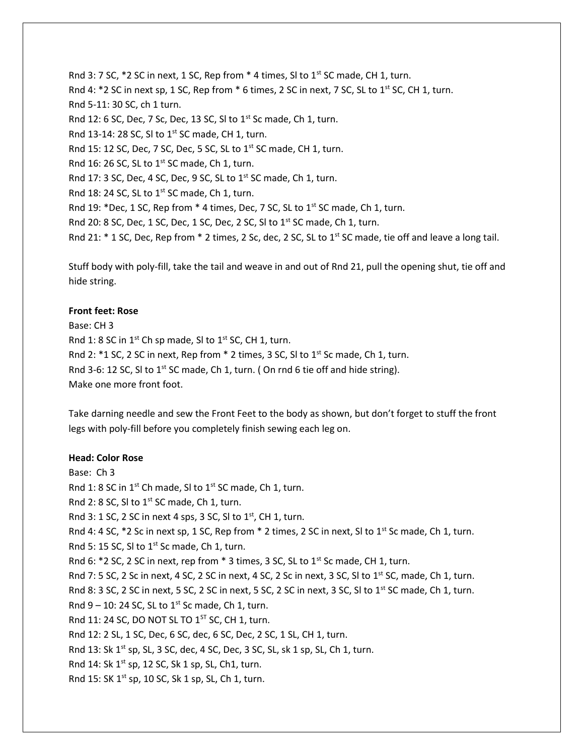Rnd 3: 7 SC,  $*2$  SC in next, 1 SC, Rep from  $*$  4 times, SI to 1<sup>st</sup> SC made, CH 1, turn. Rnd 4:  $*2$  SC in next sp, 1 SC, Rep from  $*6$  times, 2 SC in next, 7 SC, SL to 1<sup>st</sup> SC, CH 1, turn. Rnd 5-11: 30 SC, ch 1 turn. Rnd 12: 6 SC, Dec, 7 Sc, Dec, 13 SC, SI to  $1^{st}$  Sc made, Ch 1, turn. Rnd 13-14: 28 SC, SI to  $1^{st}$  SC made, CH 1, turn. Rnd 15: 12 SC, Dec, 7 SC, Dec, 5 SC, SL to 1<sup>st</sup> SC made, CH 1, turn. Rnd 16: 26 SC, SL to  $1<sup>st</sup>$  SC made, Ch 1, turn. Rnd 17: 3 SC, Dec, 4 SC, Dec, 9 SC, SL to  $1^{st}$  SC made, Ch 1, turn. Rnd 18: 24 SC, SL to  $1^{st}$  SC made, Ch 1, turn. Rnd 19: \*Dec, 1 SC, Rep from \* 4 times, Dec, 7 SC, SL to  $1<sup>st</sup>$  SC made, Ch 1, turn. Rnd 20: 8 SC, Dec, 1 SC, Dec, 1 SC, Dec, 2 SC, SI to 1<sup>st</sup> SC made, Ch 1, turn. Rnd 21:  $*$  1 SC, Dec, Rep from  $*$  2 times, 2 Sc, dec, 2 SC, SL to 1st SC made, tie off and leave a long tail.

Stuff body with poly-fill, take the tail and weave in and out of Rnd 21, pull the opening shut, tie off and hide string.

### **Front feet: Rose**

Base: CH 3 Rnd 1: 8 SC in  $1^{st}$  Ch sp made, SI to  $1^{st}$  SC, CH 1, turn. Rnd 2:  $*1$  SC, 2 SC in next, Rep from  $*$  2 times, 3 SC, SI to 1<sup>st</sup> Sc made, Ch 1, turn. Rnd 3-6: 12 SC, SI to  $1^{st}$  SC made, Ch 1, turn. (On rnd 6 tie off and hide string). Make one more front foot.

Take darning needle and sew the Front Feet to the body as shown, but don't forget to stuff the front legs with poly-fill before you completely finish sewing each leg on.

#### **Head: Color Rose**

Base: Ch 3 Rnd 1: 8 SC in  $1^{st}$  Ch made, SI to  $1^{st}$  SC made, Ch 1, turn. Rnd 2: 8 SC, SI to  $1^{st}$  SC made, Ch 1, turn. Rnd 3: 1 SC, 2 SC in next 4 sps, 3 SC, SI to  $1^{st}$ , CH 1, turn. Rnd 4: 4 SC,  $*2$  Sc in next sp, 1 SC, Rep from  $*$  2 times, 2 SC in next, SI to 1<sup>st</sup> Sc made, Ch 1, turn. Rnd 5: 15 SC, SI to  $1^{st}$  Sc made, Ch 1, turn. Rnd 6:  $*2$  SC, 2 SC in next, rep from  $*$  3 times, 3 SC, SL to 1<sup>st</sup> Sc made, CH 1, turn. Rnd 7: 5 SC, 2 Sc in next, 4 SC, 2 SC in next, 4 SC, 2 Sc in next, 3 SC, SI to 1st SC, made, Ch 1, turn. Rnd 8: 3 SC, 2 SC in next, 5 SC, 2 SC in next, 5 SC, 2 SC in next, 3 SC, SI to 1<sup>st</sup> SC made, Ch 1, turn. Rnd  $9 - 10$ : 24 SC, SL to 1<sup>st</sup> Sc made, Ch 1, turn. Rnd 11: 24 SC, DO NOT SL TO  $1^{57}$  SC, CH 1, turn. Rnd 12: 2 SL, 1 SC, Dec, 6 SC, dec, 6 SC, Dec, 2 SC, 1 SL, CH 1, turn. Rnd 13: Sk 1<sup>st</sup> sp, SL, 3 SC, dec, 4 SC, Dec, 3 SC, SL, sk 1 sp, SL, Ch 1, turn. Rnd 14: Sk 1<sup>st</sup> sp, 12 SC, Sk 1 sp, SL, Ch1, turn. Rnd 15: SK  $1^{st}$  sp, 10 SC, Sk 1 sp, SL, Ch 1, turn.